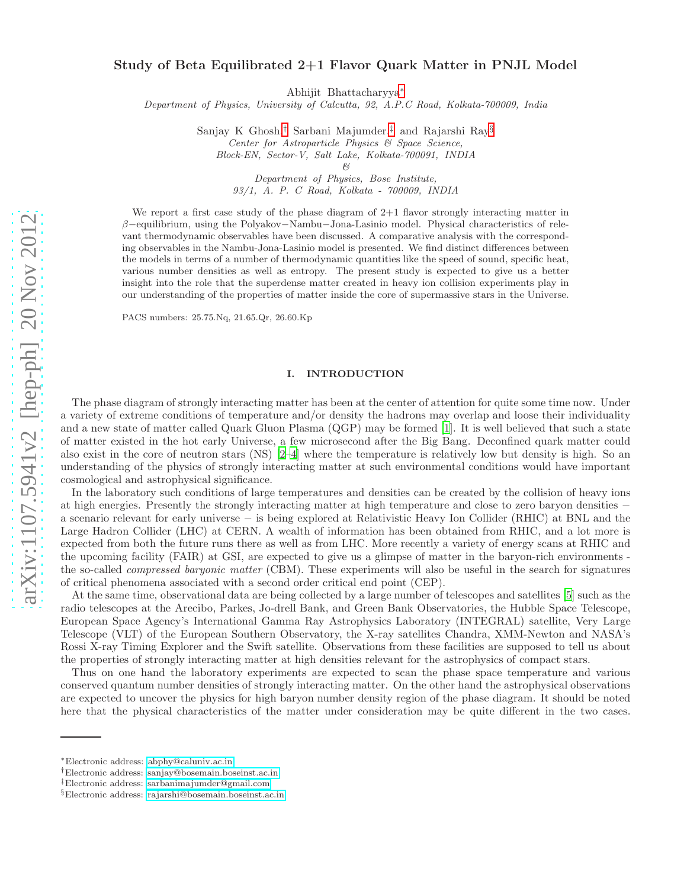# Study of Beta Equilibrated 2+1 Flavor Quark Matter in PNJL Model

Abhijit Bhattacharyya[∗](#page-0-0)

Department of Physics, University of Calcutta, 92, A.P.C Road, Kolkata-700009, India

Sanjay K Ghosh,[†](#page-0-1) Sarbani Majumder,[‡](#page-0-2) and Rajarshi Ray[§](#page-0-3) Center for Astroparticle Physics & Space Science, Block-EN, Sector-V, Salt Lake, Kolkata-700091, INDIA

 $6<$ 

Department of Physics, Bose Institute, 93/1, A. P. C Road, Kolkata - 700009, INDIA

We report a first case study of the phase diagram of  $2+1$  flavor strongly interacting matter in β−equilibrium, using the Polyakov−Nambu−Jona-Lasinio model. Physical characteristics of relevant thermodynamic observables have been discussed. A comparative analysis with the corresponding observables in the Nambu-Jona-Lasinio model is presented. We find distinct differences between the models in terms of a number of thermodynamic quantities like the speed of sound, specific heat, various number densities as well as entropy. The present study is expected to give us a better insight into the role that the superdense matter created in heavy ion collision experiments play in our understanding of the properties of matter inside the core of supermassive stars in the Universe.

PACS numbers: 25.75.Nq, 21.65.Qr, 26.60.Kp

#### I. INTRODUCTION

The phase diagram of strongly interacting matter has been at the center of attention for quite some time now. Under a variety of extreme conditions of temperature and/or density the hadrons may overlap and loose their individuality and a new state of matter called Quark Gluon Plasma (QGP) may be formed [\[1](#page-10-0)]. It is well believed that such a state of matter existed in the hot early Universe, a few microsecond after the Big Bang. Deconfined quark matter could also exist in the core of neutron stars (NS) [\[2](#page-10-1)[–4](#page-10-2)] where the temperature is relatively low but density is high. So an understanding of the physics of strongly interacting matter at such environmental conditions would have important cosmological and astrophysical significance.

In the laboratory such conditions of large temperatures and densities can be created by the collision of heavy ions at high energies. Presently the strongly interacting matter at high temperature and close to zero baryon densities − a scenario relevant for early universe − is being explored at Relativistic Heavy Ion Collider (RHIC) at BNL and the Large Hadron Collider (LHC) at CERN. A wealth of information has been obtained from RHIC, and a lot more is expected from both the future runs there as well as from LHC. More recently a variety of energy scans at RHIC and the upcoming facility (FAIR) at GSI, are expected to give us a glimpse of matter in the baryon-rich environments the so-called compressed baryonic matter (CBM). These experiments will also be useful in the search for signatures of critical phenomena associated with a second order critical end point (CEP).

At the same time, observational data are being collected by a large number of telescopes and satellites [\[5\]](#page-10-3) such as the radio telescopes at the Arecibo, Parkes, Jo-drell Bank, and Green Bank Observatories, the Hubble Space Telescope, European Space Agency's International Gamma Ray Astrophysics Laboratory (INTEGRAL) satellite, Very Large Telescope (VLT) of the European Southern Observatory, the X-ray satellites Chandra, XMM-Newton and NASA's Rossi X-ray Timing Explorer and the Swift satellite. Observations from these facilities are supposed to tell us about the properties of strongly interacting matter at high densities relevant for the astrophysics of compact stars.

Thus on one hand the laboratory experiments are expected to scan the phase space temperature and various conserved quantum number densities of strongly interacting matter. On the other hand the astrophysical observations are expected to uncover the physics for high baryon number density region of the phase diagram. It should be noted here that the physical characteristics of the matter under consideration may be quite different in the two cases.

<span id="page-0-0"></span><sup>∗</sup>Electronic address: [abphy@caluniv.ac.in](mailto:abphy@caluniv.ac.in)

<span id="page-0-1"></span><sup>†</sup>Electronic address: [sanjay@bosemain.boseinst.ac.in](mailto:sanjay@bosemain.boseinst.ac.in)

<span id="page-0-2"></span><sup>‡</sup>Electronic address: [sarbanimajumder@gmail.com](mailto:sarbanimajumder@gmail.com)

<span id="page-0-3"></span><sup>§</sup>Electronic address: [rajarshi@bosemain.boseinst.ac.in](mailto:rajarshi@bosemain.boseinst.ac.in)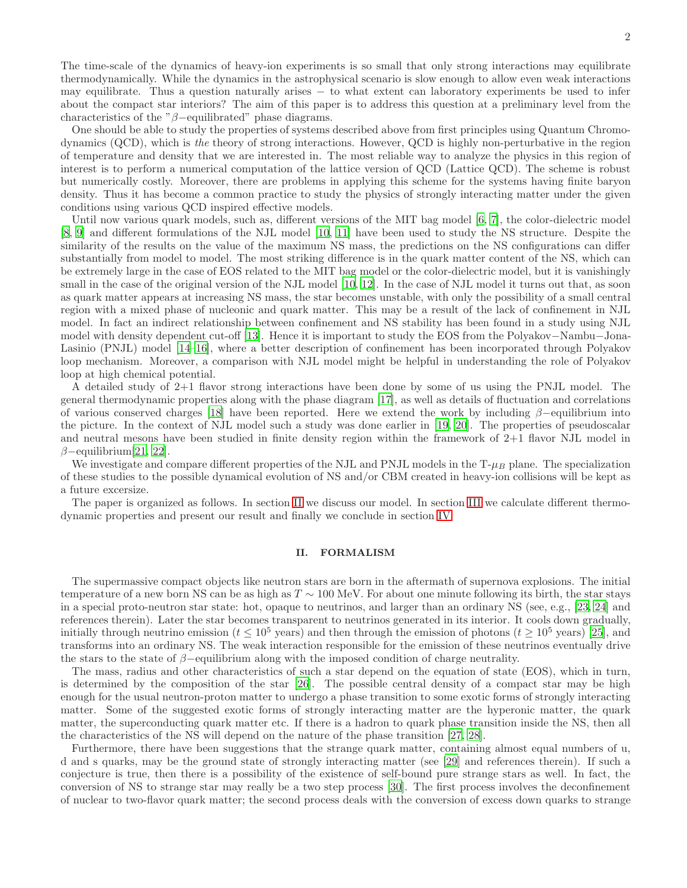The time-scale of the dynamics of heavy-ion experiments is so small that only strong interactions may equilibrate thermodynamically. While the dynamics in the astrophysical scenario is slow enough to allow even weak interactions may equilibrate. Thus a question naturally arises − to what extent can laboratory experiments be used to infer about the compact star interiors? The aim of this paper is to address this question at a preliminary level from the characteristics of the " $\beta$ -equilibrated" phase diagrams.

One should be able to study the properties of systems described above from first principles using Quantum Chromodynamics (QCD), which is the theory of strong interactions. However, QCD is highly non-perturbative in the region of temperature and density that we are interested in. The most reliable way to analyze the physics in this region of interest is to perform a numerical computation of the lattice version of QCD (Lattice QCD). The scheme is robust but numerically costly. Moreover, there are problems in applying this scheme for the systems having finite baryon density. Thus it has become a common practice to study the physics of strongly interacting matter under the given conditions using various QCD inspired effective models.

Until now various quark models, such as, different versions of the MIT bag model [\[6,](#page-10-4) [7\]](#page-10-5), the color-dielectric model [\[8,](#page-10-6) [9](#page-10-7)] and different formulations of the NJL model [\[10,](#page-10-8) [11](#page-10-9)] have been used to study the NS structure. Despite the similarity of the results on the value of the maximum NS mass, the predictions on the NS configurations can differ substantially from model to model. The most striking difference is in the quark matter content of the NS, which can be extremely large in the case of EOS related to the MIT bag model or the color-dielectric model, but it is vanishingly small in the case of the original version of the NJL model [\[10,](#page-10-8) [12\]](#page-10-10). In the case of NJL model it turns out that, as soon as quark matter appears at increasing NS mass, the star becomes unstable, with only the possibility of a small central region with a mixed phase of nucleonic and quark matter. This may be a result of the lack of confinement in NJL model. In fact an indirect relationship between confinement and NS stability has been found in a study using NJL model with density dependent cut-off [\[13](#page-10-11)]. Hence it is important to study the EOS from the Polyakov−Nambu−Jona-Lasinio (PNJL) model [\[14](#page-10-12)[–16\]](#page-10-13), where a better description of confinement has been incorporated through Polyakov loop mechanism. Moreover, a comparison with NJL model might be helpful in understanding the role of Polyakov loop at high chemical potential.

A detailed study of 2+1 flavor strong interactions have been done by some of us using the PNJL model. The general thermodynamic properties along with the phase diagram [\[17\]](#page-10-14), as well as details of fluctuation and correlations of various conserved charges [\[18](#page-10-15)] have been reported. Here we extend the work by including  $\beta$ −equilibrium into the picture. In the context of NJL model such a study was done earlier in [\[19,](#page-10-16) [20](#page-10-17)]. The properties of pseudoscalar and neutral mesons have been studied in finite density region within the framework of 2+1 flavor NJL model in  $\beta$ -equilibrium[\[21](#page-10-18), [22](#page-10-19)].

We investigate and compare different properties of the NJL and PNJL models in the  $T-\mu_B$  plane. The specialization of these studies to the possible dynamical evolution of NS and/or CBM created in heavy-ion collisions will be kept as a future excersize.

The paper is organized as follows. In section [II](#page-1-0) we discuss our model. In section [III](#page-3-0) we calculate different thermodynamic properties and present our result and finally we conclude in section [IV.](#page-9-0)

# <span id="page-1-0"></span>II. FORMALISM

The supermassive compact objects like neutron stars are born in the aftermath of supernova explosions. The initial temperature of a new born NS can be as high as  $T \sim 100$  MeV. For about one minute following its birth, the star stays in a special proto-neutron star state: hot, opaque to neutrinos, and larger than an ordinary NS (see, e.g., [\[23,](#page-10-20) [24](#page-10-21)] and references therein). Later the star becomes transparent to neutrinos generated in its interior. It cools down gradually, initially through neutrino emission ( $t \le 10^5$  years) and then through the emission of photons ( $t \ge 10^5$  years) [\[25\]](#page-10-22), and transforms into an ordinary NS. The weak interaction responsible for the emission of these neutrinos eventually drive the stars to the state of  $\beta$ -equilibrium along with the imposed condition of charge neutrality.

The mass, radius and other characteristics of such a star depend on the equation of state (EOS), which in turn, is determined by the composition of the star [\[26](#page-10-23)]. The possible central density of a compact star may be high enough for the usual neutron-proton matter to undergo a phase transition to some exotic forms of strongly interacting matter. Some of the suggested exotic forms of strongly interacting matter are the hyperonic matter, the quark matter, the superconducting quark matter etc. If there is a hadron to quark phase transition inside the NS, then all the characteristics of the NS will depend on the nature of the phase transition [\[27,](#page-10-24) [28\]](#page-10-25).

Furthermore, there have been suggestions that the strange quark matter, containing almost equal numbers of u, d and s quarks, may be the ground state of strongly interacting matter (see [\[29\]](#page-11-0) and references therein). If such a conjecture is true, then there is a possibility of the existence of self-bound pure strange stars as well. In fact, the conversion of NS to strange star may really be a two step process [\[30\]](#page-11-1). The first process involves the deconfinement of nuclear to two-flavor quark matter; the second process deals with the conversion of excess down quarks to strange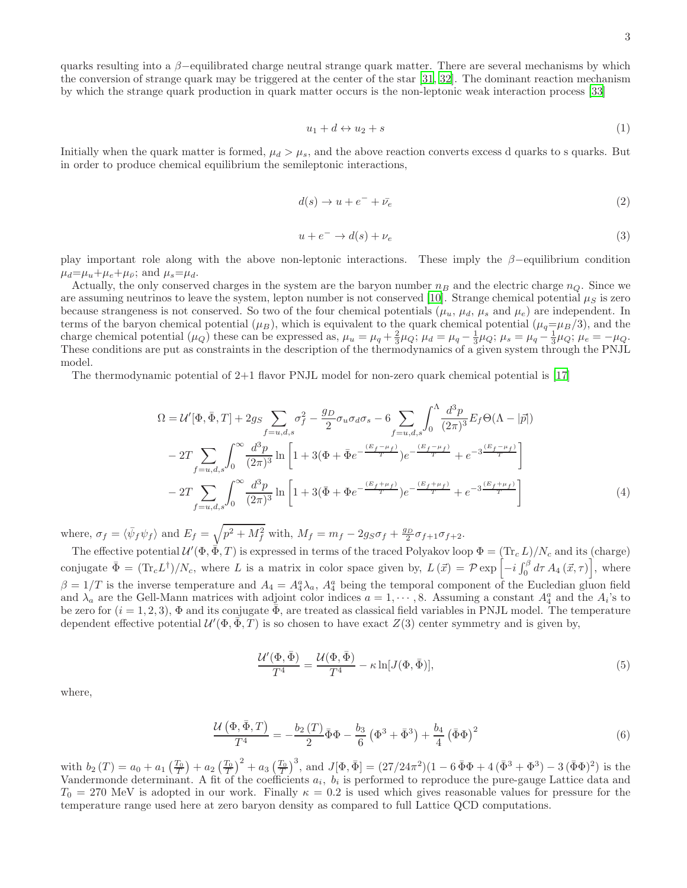quarks resulting into a  $\beta$ -equilibrated charge neutral strange quark matter. There are several mechanisms by which the conversion of strange quark may be triggered at the center of the star [\[31,](#page-11-2) [32](#page-11-3)]. The dominant reaction mechanism by which the strange quark production in quark matter occurs is the non-leptonic weak interaction process [\[33](#page-11-4)]

$$
u_1 + d \leftrightarrow u_2 + s \tag{1}
$$

Initially when the quark matter is formed,  $\mu_d > \mu_s$ , and the above reaction converts excess d quarks to s quarks. But in order to produce chemical equilibrium the semileptonic interactions,

$$
d(s) \to u + e^- + \bar{\nu}_e \tag{2}
$$

$$
u + e^- \to d(s) + \nu_e \tag{3}
$$

play important role along with the above non-leptonic interactions. These imply the  $\beta$ -equilibrium condition  $\mu_d = \mu_u + \mu_e + \mu_{\bar{\nu}}$ ; and  $\mu_s = \mu_d$ .

Actually, the only conserved charges in the system are the baryon number  $n_B$  and the electric charge  $n_Q$ . Since we are assuming neutrinos to leave the system, lepton number is not conserved [\[10](#page-10-8)]. Strange chemical potential  $\mu_S$  is zero because strangeness is not conserved. So two of the four chemical potentials  $(\mu_u, \mu_d, \mu_s$  and  $\mu_e)$  are independent. In terms of the baryon chemical potential  $(\mu_B)$ , which is equivalent to the quark chemical potential  $(\mu_q=\mu_B/3)$ , and the charge chemical potential  $(\mu_Q)$  these can be expressed as,  $\mu_u = \mu_q + \frac{2}{3}\mu_Q$ ;  $\mu_d = \mu_q - \frac{1}{3}\mu_Q$ ;  $\mu_s = \mu_q - \frac{1}{3}\mu_Q$ ;  $\mu_e = -\mu_Q$ . These conditions are put as constraints in the description of the thermodynamics of a given system through the PNJL model.

The thermodynamic potential of 2+1 flavor PNJL model for non-zero quark chemical potential is [\[17\]](#page-10-14)

$$
\Omega = \mathcal{U}'[\Phi, \bar{\Phi}, T] + 2g_S \sum_{f=u,d,s} \sigma_f^2 - \frac{g_D}{2} \sigma_u \sigma_d \sigma_s - 6 \sum_{f=u,d,s} \int_0^{\Lambda} \frac{d^3 p}{(2\pi)^3} E_f \Theta(\Lambda - |\bar{p}|)
$$
  

$$
- 2T \sum_{f=u,d,s} \int_0^{\infty} \frac{d^3 p}{(2\pi)^3} \ln \left[ 1 + 3(\Phi + \bar{\Phi}e^{-\frac{(E_f - \mu_f)}{T}}) e^{-\frac{(E_f - \mu_f)}{T}} + e^{-3\frac{(E_f - \mu_f)}{T}} \right]
$$
  

$$
- 2T \sum_{f=u,d,s} \int_0^{\infty} \frac{d^3 p}{(2\pi)^3} \ln \left[ 1 + 3(\bar{\Phi} + \Phi e^{-\frac{(E_f + \mu_f)}{T}}) e^{-\frac{(E_f + \mu_f)}{T}} + e^{-3\frac{(E_f + \mu_f)}{T}} \right]
$$
(4)

where,  $\sigma_f = \langle \bar{\psi}_f \psi_f \rangle$  and  $E_f = \sqrt{p^2 + M_f^2}$  with,  $M_f = m_f - 2g_S \sigma_f + \frac{g_D}{2} \sigma_{f+1} \sigma_{f+2}$ .

The effective potential  $\mathcal{U}'(\Phi, \vec{\Phi}, T)$  is expressed in terms of the traced Polyakov loop  $\Phi = (\text{Tr}_c L)/N_c$  and its (charge) conjugate  $\bar{\Phi} = (\text{Tr}_c L^{\dagger})/N_c$ , where L is a matrix in color space given by,  $L(\vec{x}) = \mathcal{P} \exp \left[-i \int_0^{\beta} d\tau A_4(\vec{x}, \tau)\right]$ , where  $\beta = 1/T$  is the inverse temperature and  $A_4 = A_4^a \lambda_a$ ,  $A_4^a$  being the temporal component of the Eucledian gluon field and  $\lambda_a$  are the Gell-Mann matrices with adjoint color indices  $a = 1, \dots, 8$ . Assuming a constant  $A_4^a$  and the  $A_i$ 's to be zero for  $(i = 1, 2, 3)$ ,  $\Phi$  and its conjugate  $\bar{\Phi}$ , are treated as classical field variables in PNJL model. The temperature dependent effective potential  $\mathcal{U}'(\Phi, \bar{\Phi}, T)$  is so chosen to have exact  $Z(3)$  center symmetry and is given by,

$$
\frac{\mathcal{U}'(\Phi,\bar{\Phi})}{T^4} = \frac{\mathcal{U}(\Phi,\bar{\Phi})}{T^4} - \kappa \ln[J(\Phi,\bar{\Phi})],\tag{5}
$$

where,

$$
\frac{\mathcal{U}\left(\Phi,\bar{\Phi},T\right)}{T^4} = -\frac{b_2\left(T\right)}{2}\bar{\Phi}\Phi - \frac{b_3}{6}\left(\Phi^3 + \bar{\Phi}^3\right) + \frac{b_4}{4}\left(\bar{\Phi}\Phi\right)^2\tag{6}
$$

with  $b_2(T) = a_0 + a_1 \left(\frac{T_0}{T}\right) + a_2 \left(\frac{T_0}{T}\right)^2 + a_3 \left(\frac{T_0}{T}\right)^3$ , and  $J[\Phi, \bar{\Phi}] = (27/24\pi^2)(1 - 6\bar{\Phi}\Phi + 4(\bar{\Phi}^3 + \Phi^3) - 3(\bar{\Phi}\Phi)^2)$  is the Vandermonde determinant. A fit of the coefficients  $a_i$ ,  $b_i$  is performed to reproduce the pure-gauge Lattice data and  $T_0 = 270$  MeV is adopted in our work. Finally  $\kappa = 0.2$  is used which gives reasonable values for pressure for the temperature range used here at zero baryon density as compared to full Lattice QCD computations.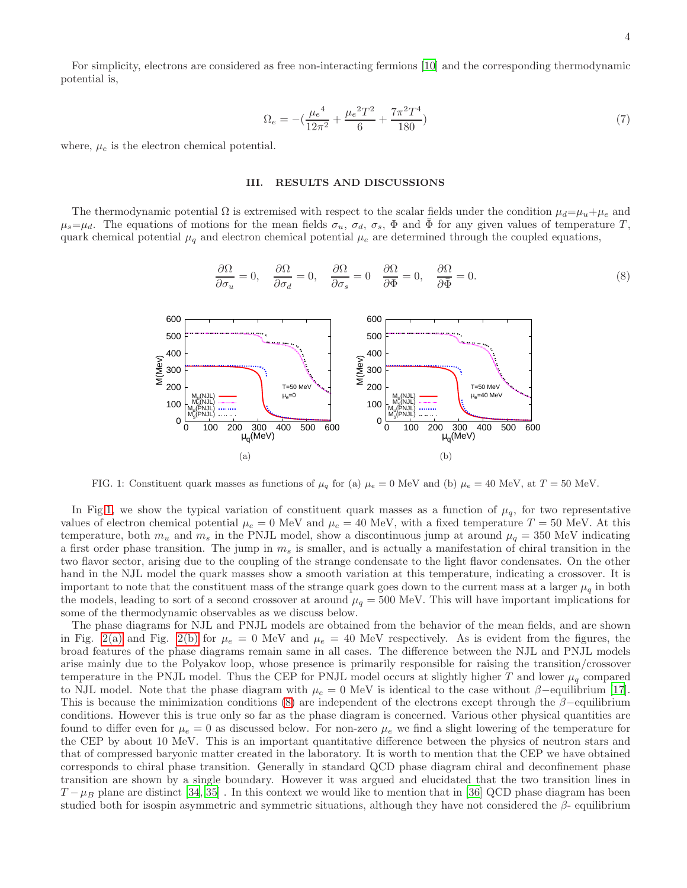For simplicity, electrons are considered as free non-interacting fermions [\[10](#page-10-8)] and the corresponding thermodynamic potential is,

$$
\Omega_e = -\left(\frac{\mu_e^4}{12\pi^2} + \frac{\mu_e^2 T^2}{6} + \frac{7\pi^2 T^4}{180}\right) \tag{7}
$$

where,  $\mu_e$  is the electron chemical potential.

### <span id="page-3-0"></span>III. RESULTS AND DISCUSSIONS

The thermodynamic potential  $\Omega$  is extremised with respect to the scalar fields under the condition  $\mu_d=\mu_u+\mu_e$  and  $\mu_s=\mu_d$ . The equations of motions for the mean fields  $\sigma_u$ ,  $\sigma_d$ ,  $\sigma_s$ ,  $\Phi$  and  $\Phi$  for any given values of temperature T, quark chemical potential  $\mu_q$  and electron chemical potential  $\mu_e$  are determined through the coupled equations,

<span id="page-3-2"></span>
$$
\frac{\partial \Omega}{\partial \sigma_u} = 0, \quad \frac{\partial \Omega}{\partial \sigma_d} = 0, \quad \frac{\partial \Omega}{\partial \sigma_s} = 0 \quad \frac{\partial \Omega}{\partial \Phi} = 0, \quad \frac{\partial \Omega}{\partial \bar{\Phi}} = 0.
$$
\n(8)



<span id="page-3-1"></span>FIG. 1: Constituent quark masses as functions of  $\mu_q$  for (a)  $\mu_e = 0$  MeV and (b)  $\mu_e = 40$  MeV, at  $T = 50$  MeV.

In Fig[.1,](#page-3-1) we show the typical variation of constituent quark masses as a function of  $\mu_q$ , for two representative values of electron chemical potential  $\mu_e = 0$  MeV and  $\mu_e = 40$  MeV, with a fixed temperature  $T = 50$  MeV. At this temperature, both  $m_u$  and  $m_s$  in the PNJL model, show a discontinuous jump at around  $\mu_q = 350$  MeV indicating a first order phase transition. The jump in  $m_s$  is smaller, and is actually a manifestation of chiral transition in the two flavor sector, arising due to the coupling of the strange condensate to the light flavor condensates. On the other hand in the NJL model the quark masses show a smooth variation at this temperature, indicating a crossover. It is important to note that the constituent mass of the strange quark goes down to the current mass at a larger  $\mu_q$  in both the models, leading to sort of a second crossover at around  $\mu_q = 500$  MeV. This will have important implications for some of the thermodynamic observables as we discuss below.

The phase diagrams for NJL and PNJL models are obtained from the behavior of the mean fields, and are shown in Fig. [2\(a\)](#page-4-0) and Fig. [2\(b\)](#page-4-1) for  $\mu_e = 0$  MeV and  $\mu_e = 40$  MeV respectively. As is evident from the figures, the broad features of the phase diagrams remain same in all cases. The difference between the NJL and PNJL models arise mainly due to the Polyakov loop, whose presence is primarily responsible for raising the transition/crossover temperature in the PNJL model. Thus the CEP for PNJL model occurs at slightly higher T and lower  $\mu_q$  compared to NJL model. Note that the phase diagram with  $\mu_e = 0$  MeV is identical to the case without  $\beta$ –equilibrium [\[17\]](#page-10-14). This is because the minimization conditions [\(8\)](#page-3-2) are independent of the electrons except through the  $\beta$ −equilibrium conditions. However this is true only so far as the phase diagram is concerned. Various other physical quantities are found to differ even for  $\mu_e = 0$  as discussed below. For non-zero  $\mu_e$  we find a slight lowering of the temperature for the CEP by about 10 MeV. This is an important quantitative difference between the physics of neutron stars and that of compressed baryonic matter created in the laboratory. It is worth to mention that the CEP we have obtained corresponds to chiral phase transition. Generally in standard QCD phase diagram chiral and deconfinement phase transition are shown by a single boundary. However it was argued and elucidated that the two transition lines in  $T-\mu_B$  plane are distinct [\[34](#page-11-5), [35\]](#page-11-6). In this context we would like to mention that in [\[36\]](#page-11-7) QCD phase diagram has been studied both for isospin asymmetric and symmetric situations, although they have not considered the  $\beta$ - equilibrium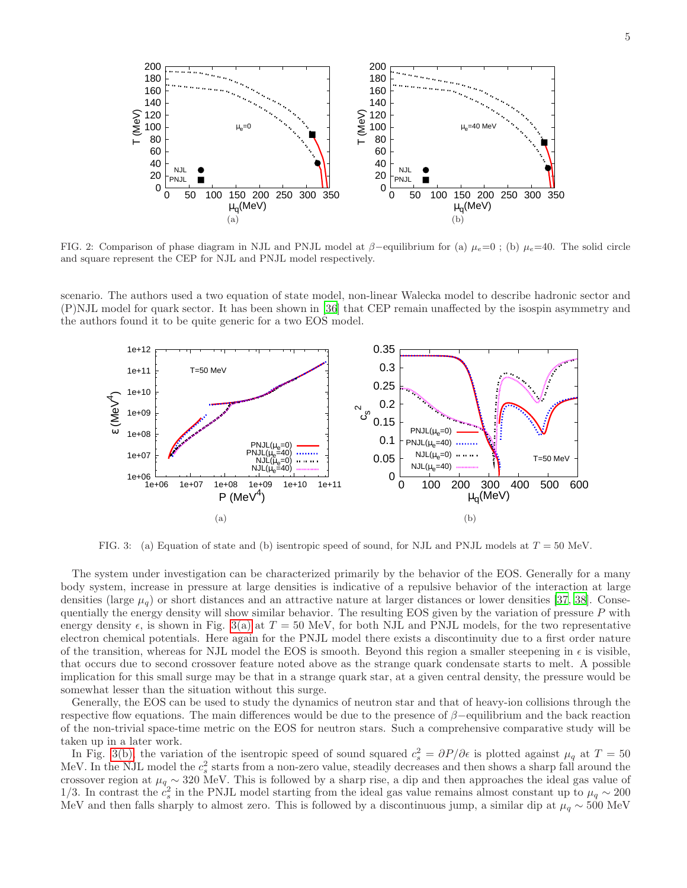<span id="page-4-1"></span><span id="page-4-0"></span>

FIG. 2: Comparison of phase diagram in NJL and PNJL model at  $\beta$ -equilibrium for (a)  $\mu_e=0$ ; (b)  $\mu_e=40$ . The solid circle and square represent the CEP for NJL and PNJL model respectively.

scenario. The authors used a two equation of state model, non-linear Walecka model to describe hadronic sector and (P)NJL model for quark sector. It has been shown in [\[36\]](#page-11-7) that CEP remain unaffected by the isospin asymmetry and the authors found it to be quite generic for a two EOS model.

<span id="page-4-2"></span>

<span id="page-4-3"></span>FIG. 3: (a) Equation of state and (b) isentropic speed of sound, for NJL and PNJL models at  $T = 50$  MeV.

The system under investigation can be characterized primarily by the behavior of the EOS. Generally for a many body system, increase in pressure at large densities is indicative of a repulsive behavior of the interaction at large densities (large  $\mu_q$ ) or short distances and an attractive nature at larger distances or lower densities [\[37,](#page-11-8) [38\]](#page-11-9). Consequentially the energy density will show similar behavior. The resulting EOS given by the variation of pressure  $P$  with energy density  $\epsilon$ , is shown in Fig. [3\(a\)](#page-4-2) at  $T = 50$  MeV, for both NJL and PNJL models, for the two representative electron chemical potentials. Here again for the PNJL model there exists a discontinuity due to a first order nature of the transition, whereas for NJL model the EOS is smooth. Beyond this region a smaller steepening in  $\epsilon$  is visible, that occurs due to second crossover feature noted above as the strange quark condensate starts to melt. A possible implication for this small surge may be that in a strange quark star, at a given central density, the pressure would be somewhat lesser than the situation without this surge.

Generally, the EOS can be used to study the dynamics of neutron star and that of heavy-ion collisions through the respective flow equations. The main differences would be due to the presence of β−equilibrium and the back reaction of the non-trivial space-time metric on the EOS for neutron stars. Such a comprehensive comparative study will be taken up in a later work.

In Fig. [3\(b\),](#page-4-3) the variation of the isentropic speed of sound squared  $c_s^2 = \partial P/\partial \epsilon$  is plotted against  $\mu_q$  at  $T = 50$ MeV. In the NJL model the  $c_s^2$  starts from a non-zero value, steadily decreases and then shows a sharp fall around the crossover region at  $\mu_q \sim 320$  MeV. This is followed by a sharp rise, a dip and then approaches the ideal gas value of 1/3. In contrast the  $c_s^2$  in the PNJL model starting from the ideal gas value remains almost constant up to  $\mu_q \sim 200$ MeV and then falls sharply to almost zero. This is followed by a discontinuous jump, a similar dip at  $\mu_q \sim 500 \text{ MeV}$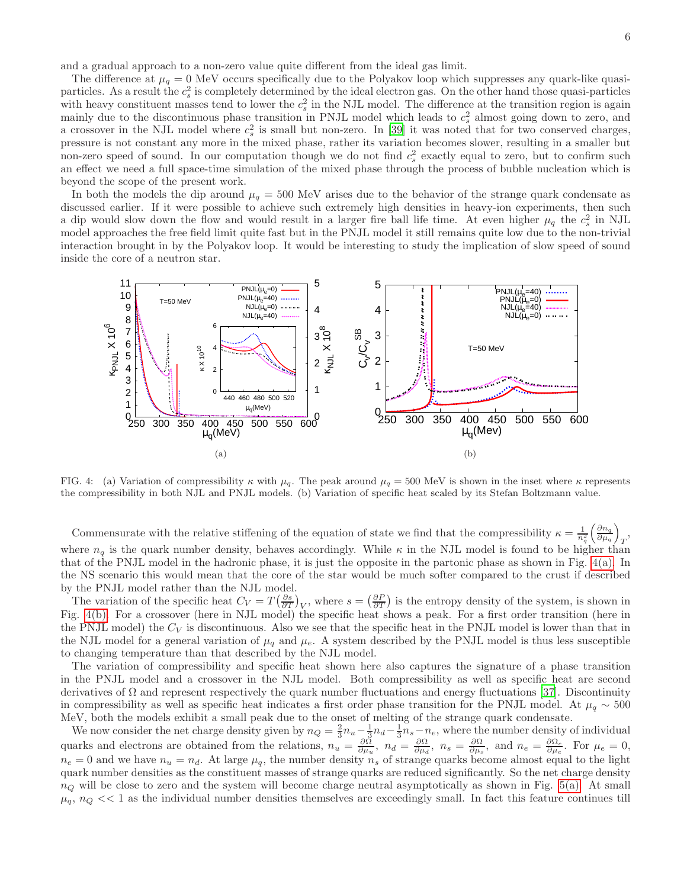and a gradual approach to a non-zero value quite different from the ideal gas limit.

The difference at  $\mu_q = 0$  MeV occurs specifically due to the Polyakov loop which suppresses any quark-like quasiparticles. As a result the  $c_s^2$  is completely determined by the ideal electron gas. On the other hand those quasi-particles with heavy constituent masses tend to lower the  $c_s^2$  in the NJL model. The difference at the transition region is again mainly due to the discontinuous phase transition in PNJL model which leads to  $c_s^2$  almost going down to zero, and a crossover in the NJL model where  $c_s^2$  is small but non-zero. In [\[39\]](#page-11-10) it was noted that for two conserved charges, pressure is not constant any more in the mixed phase, rather its variation becomes slower, resulting in a smaller but non-zero speed of sound. In our computation though we do not find  $c_s^2$  exactly equal to zero, but to confirm such an effect we need a full space-time simulation of the mixed phase through the process of bubble nucleation which is beyond the scope of the present work.

In both the models the dip around  $\mu_q = 500$  MeV arises due to the behavior of the strange quark condensate as discussed earlier. If it were possible to achieve such extremely high densities in heavy-ion experiments, then such a dip would slow down the flow and would result in a larger fire ball life time. At even higher  $\mu_q$  the  $c_s^2$  in NJL model approaches the free field limit quite fast but in the PNJL model it still remains quite low due to the non-trivial interaction brought in by the Polyakov loop. It would be interesting to study the implication of slow speed of sound inside the core of a neutron star.

<span id="page-5-0"></span>

<span id="page-5-1"></span>FIG. 4: (a) Variation of compressibility  $\kappa$  with  $\mu_q$ . The peak around  $\mu_q = 500$  MeV is shown in the inset where  $\kappa$  represents the compressibility in both NJL and PNJL models. (b) Variation of specific heat scaled by its Stefan Boltzmann value.

Commensurate with the relative stiffening of the equation of state we find that the compressibility  $\kappa = \frac{1}{n_q^2} \left( \frac{\partial n_q}{\partial \mu_q} \right)$  $\frac{\partial n_q}{\partial \mu_q}\bigg)$  $\overline{T}$ , where  $n_q$  is the quark number density, behaves accordingly. While  $\kappa$  in the NJL model is found to be higher than that of the PNJL model in the hadronic phase, it is just the opposite in the partonic phase as shown in Fig.  $4(a)$ . In the NS scenario this would mean that the core of the star would be much softer compared to the crust if described by the PNJL model rather than the NJL model.

The variation of the specific heat  $C_V = T\left(\frac{\partial s}{\partial T}\right)_V$ , where  $s = \left(\frac{\partial P}{\partial T}\right)$  is the entropy density of the system, is shown in Fig. [4\(b\).](#page-5-1) For a crossover (here in NJL model) the specific heat shows a peak. For a first order transition (here in the PNJL model) the  $C_V$  is discontinuous. Also we see that the specific heat in the PNJL model is lower than that in the NJL model for a general variation of  $\mu_q$  and  $\mu_e$ . A system described by the PNJL model is thus less susceptible to changing temperature than that described by the NJL model.

The variation of compressibility and specific heat shown here also captures the signature of a phase transition in the PNJL model and a crossover in the NJL model. Both compressibility as well as specific heat are second derivatives of  $\Omega$  and represent respectively the quark number fluctuations and energy fluctuations [\[37](#page-11-8)]. Discontinuity in compressibility as well as specific heat indicates a first order phase transition for the PNJL model. At  $\mu_q \sim 500$ MeV, both the models exhibit a small peak due to the onset of melting of the strange quark condensate.

We now consider the net charge density given by  $n_Q = \frac{2}{3}n_u - \frac{1}{3}n_d - \frac{1}{3}n_s - n_e$ , where the number density of individual quarks and electrons are obtained from the relations,  $n_u = \frac{\partial \hat{\Omega}}{\partial \mu_u}$ ,  $n_d = \frac{\partial \Omega}{\partial \mu_d}$ ,  $n_s = \frac{\partial \Omega}{\partial \mu_s}$ , and  $n_e = \frac{\partial \Omega_e}{\partial \mu_e}$ . For  $\mu_e = 0$ ,  $n_e = 0$  and we have  $n_u = n_d$ . At large  $\mu_q$ , the number density  $n_s$  of strange quarks become almost equal to the light quark number densities as the constituent masses of strange quarks are reduced significantly. So the net charge density  $n_Q$  will be close to zero and the system will become charge neutral asymptotically as shown in Fig. [5\(a\).](#page-6-0) At small  $\mu_q$ ,  $n_Q \ll 1$  as the individual number densities themselves are exceedingly small. In fact this feature continues till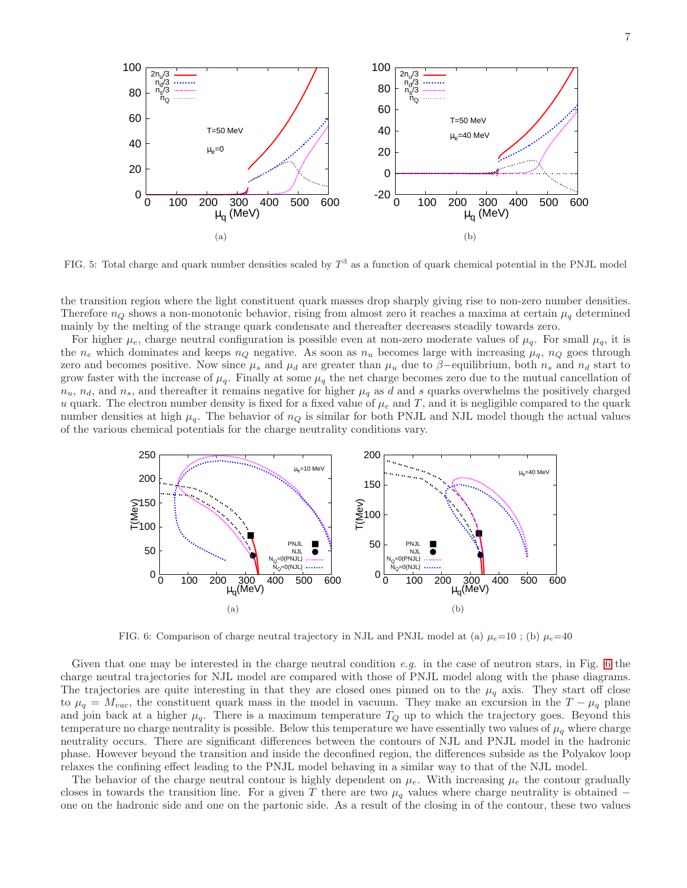<span id="page-6-0"></span>

FIG. 5: Total charge and quark number densities scaled by  $T^3$  as a function of quark chemical potential in the PNJL model

the transition region where the light constituent quark masses drop sharply giving rise to non-zero number densities. Therefore  $n_Q$  shows a non-monotonic behavior, rising from almost zero it reaches a maxima at certain  $\mu_q$  determined mainly by the melting of the strange quark condensate and thereafter decreases steadily towards zero.

For higher  $\mu_e$ , charge neutral configuration is possible even at non-zero moderate values of  $\mu_q$ . For small  $\mu_q$ , it is the  $n_e$  which dominates and keeps  $n_Q$  negative. As soon as  $n_u$  becomes large with increasing  $\mu_q$ ,  $n_Q$  goes through zero and becomes positive. Now since  $\mu_s$  and  $\mu_d$  are greater than  $\mu_u$  due to  $\beta$ –equilibrium, both  $n_s$  and  $n_d$  start to grow faster with the increase of  $\mu_q$ . Finally at some  $\mu_q$  the net charge becomes zero due to the mutual cancellation of  $n_u$ ,  $n_d$ , and  $n_s$ , and thereafter it remains negative for higher  $\mu_q$  as d and s quarks overwhelms the positively charged u quark. The electron number density is fixed for a fixed value of  $\mu_e$  and T, and it is negligible compared to the quark number densities at high  $\mu_q$ . The behavior of  $n_Q$  is similar for both PNJL and NJL model though the actual values of the various chemical potentials for the charge neutrality conditions vary.



<span id="page-6-1"></span>FIG. 6: Comparison of charge neutral trajectory in NJL and PNJL model at (a)  $\mu_e=10$ ; (b)  $\mu_e=40$ 

Given that one may be interested in the charge neutral condition e.g. in the case of neutron stars, in Fig. [6](#page-6-1) the charge neutral trajectories for NJL model are compared with those of PNJL model along with the phase diagrams. The trajectories are quite interesting in that they are closed ones pinned on to the  $\mu_q$  axis. They start off close to  $\mu_q = M_{vac}$ , the constituent quark mass in the model in vacuum. They make an excursion in the  $T - \mu_q$  plane and join back at a higher  $\mu_q$ . There is a maximum temperature  $T_Q$  up to which the trajectory goes. Beyond this temperature no charge neutrality is possible. Below this temperature we have essentially two values of  $\mu_q$  where charge neutrality occurs. There are significant differences between the contours of NJL and PNJL model in the hadronic phase. However beyond the transition and inside the deconfined region, the differences subside as the Polyakov loop relaxes the confining effect leading to the PNJL model behaving in a similar way to that of the NJL model.

The behavior of the charge neutral contour is highly dependent on  $\mu_e$ . With increasing  $\mu_e$  the contour gradually closes in towards the transition line. For a given T there are two  $\mu_q$  values where charge neutrality is obtained − one on the hadronic side and one on the partonic side. As a result of the closing in of the contour, these two values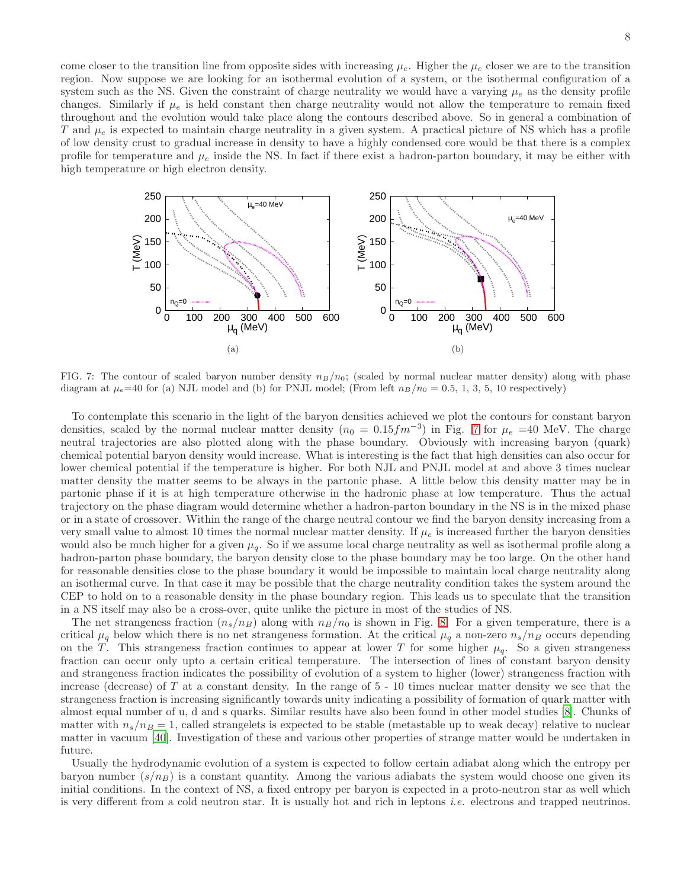come closer to the transition line from opposite sides with increasing  $\mu_e$ . Higher the  $\mu_e$  closer we are to the transition region. Now suppose we are looking for an isothermal evolution of a system, or the isothermal configuration of a system such as the NS. Given the constraint of charge neutrality we would have a varying  $\mu_e$  as the density profile changes. Similarly if  $\mu_e$  is held constant then charge neutrality would not allow the temperature to remain fixed throughout and the evolution would take place along the contours described above. So in general a combination of T and  $\mu_e$  is expected to maintain charge neutrality in a given system. A practical picture of NS which has a profile of low density crust to gradual increase in density to have a highly condensed core would be that there is a complex profile for temperature and  $\mu_e$  inside the NS. In fact if there exist a hadron-parton boundary, it may be either with high temperature or high electron density.



<span id="page-7-0"></span>FIG. 7: The contour of scaled baryon number density  $n_B/n_0$ ; (scaled by normal nuclear matter density) along with phase diagram at  $\mu_e=40$  for (a) NJL model and (b) for PNJL model; (From left  $n_B/n_0 = 0.5, 1, 3, 5, 10$  respectively)

To contemplate this scenario in the light of the baryon densities achieved we plot the contours for constant baryon densities, scaled by the normal nuclear matter density  $(n_0 = 0.15 fm^{-3})$  in Fig. [7](#page-7-0) for  $\mu_e$  =40 MeV. The charge neutral trajectories are also plotted along with the phase boundary. Obviously with increasing baryon (quark) chemical potential baryon density would increase. What is interesting is the fact that high densities can also occur for lower chemical potential if the temperature is higher. For both NJL and PNJL model at and above 3 times nuclear matter density the matter seems to be always in the partonic phase. A little below this density matter may be in partonic phase if it is at high temperature otherwise in the hadronic phase at low temperature. Thus the actual trajectory on the phase diagram would determine whether a hadron-parton boundary in the NS is in the mixed phase or in a state of crossover. Within the range of the charge neutral contour we find the baryon density increasing from a very small value to almost 10 times the normal nuclear matter density. If  $\mu_e$  is increased further the baryon densities would also be much higher for a given  $\mu_q$ . So if we assume local charge neutrality as well as isothermal profile along a hadron-parton phase boundary, the baryon density close to the phase boundary may be too large. On the other hand for reasonable densities close to the phase boundary it would be impossible to maintain local charge neutrality along an isothermal curve. In that case it may be possible that the charge neutrality condition takes the system around the CEP to hold on to a reasonable density in the phase boundary region. This leads us to speculate that the transition in a NS itself may also be a cross-over, quite unlike the picture in most of the studies of NS.

The net strangeness fraction  $(n_s/n_B)$  along with  $n_B/n_0$  is shown in Fig. [8.](#page-8-0) For a given temperature, there is a critical  $\mu_q$  below which there is no net strangeness formation. At the critical  $\mu_q$  a non-zero  $n_s/n_B$  occurs depending on the T. This strangeness fraction continues to appear at lower T for some higher  $\mu_q$ . So a given strangeness fraction can occur only upto a certain critical temperature. The intersection of lines of constant baryon density and strangeness fraction indicates the possibility of evolution of a system to higher (lower) strangeness fraction with increase (decrease) of T at a constant density. In the range of 5 - 10 times nuclear matter density we see that the strangeness fraction is increasing significantly towards unity indicating a possibility of formation of quark matter with almost equal number of u, d and s quarks. Similar results have also been found in other model studies [\[8](#page-10-6)]. Chunks of matter with  $n_s/n_B = 1$ , called strangelets is expected to be stable (metastable up to weak decay) relative to nuclear matter in vacuum [\[40\]](#page-11-11). Investigation of these and various other properties of strange matter would be undertaken in future.

Usually the hydrodynamic evolution of a system is expected to follow certain adiabat along which the entropy per baryon number  $(s/n_B)$  is a constant quantity. Among the various adiabats the system would choose one given its initial conditions. In the context of NS, a fixed entropy per baryon is expected in a proto-neutron star as well which is very different from a cold neutron star. It is usually hot and rich in leptons i.e. electrons and trapped neutrinos.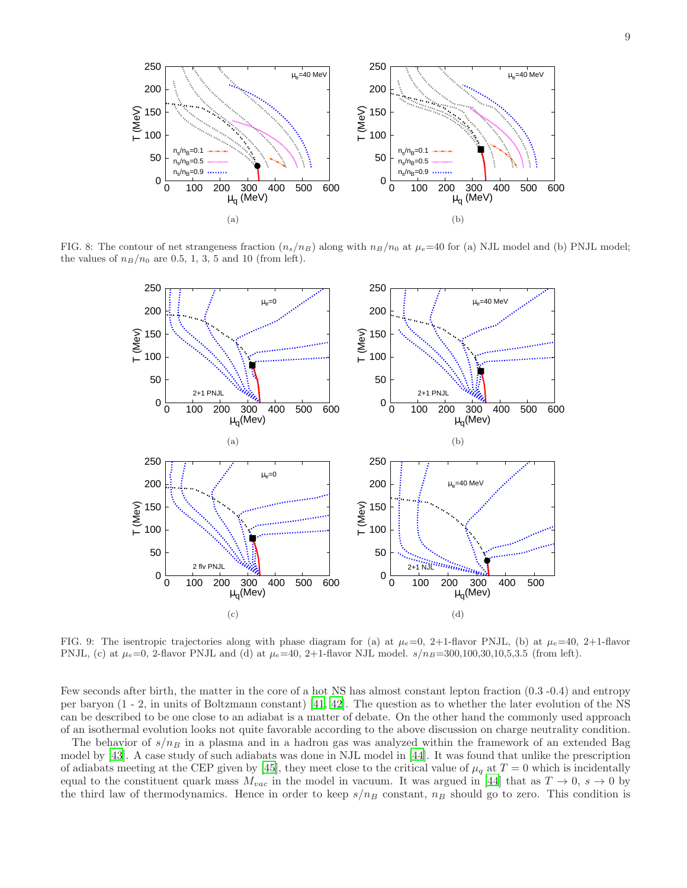

<span id="page-8-2"></span>FIG. 8: The contour of net strangeness fraction  $(n_s/n_B)$  along with  $n_B/n_0$  at  $\mu_e=40$  for (a) NJL model and (b) PNJL model; the values of  $n_B/n_0$  are 0.5, 1, 3, 5 and 10 (from left).

<span id="page-8-3"></span><span id="page-8-0"></span>

<span id="page-8-5"></span><span id="page-8-4"></span><span id="page-8-1"></span>FIG. 9: The isentropic trajectories along with phase diagram for (a) at  $\mu_e=0$ , 2+1-flavor PNJL, (b) at  $\mu_e=40$ , 2+1-flavor PNJL, (c) at  $\mu_e=0$ , 2-flavor PNJL and (d) at  $\mu_e=40$ , 2+1-flavor NJL model.  $s/n_B=300,100,30,10,5,3.5$  (from left).

Few seconds after birth, the matter in the core of a hot NS has almost constant lepton fraction (0.3 -0.4) and entropy per baryon (1 - 2, in units of Boltzmann constant) [\[41](#page-11-12), [42](#page-11-13)]. The question as to whether the later evolution of the NS can be described to be one close to an adiabat is a matter of debate. On the other hand the commonly used approach of an isothermal evolution looks not quite favorable according to the above discussion on charge neutrality condition.

The behavior of  $s/n_B$  in a plasma and in a hadron gas was analyzed within the framework of an extended Bag model by [\[43](#page-11-14)]. A case study of such adiabats was done in NJL model in [\[44\]](#page-11-15). It was found that unlike the prescription of adiabats meeting at the CEP given by [\[45\]](#page-11-16), they meet close to the critical value of  $\mu_q$  at  $T=0$  which is incidentally equal to the constituent quark mass  $M_{vac}$  in the model in vacuum. It was argued in [\[44\]](#page-11-15) that as  $T \to 0$ ,  $s \to 0$  by the third law of thermodynamics. Hence in order to keep  $s/n_B$  constant,  $n_B$  should go to zero. This condition is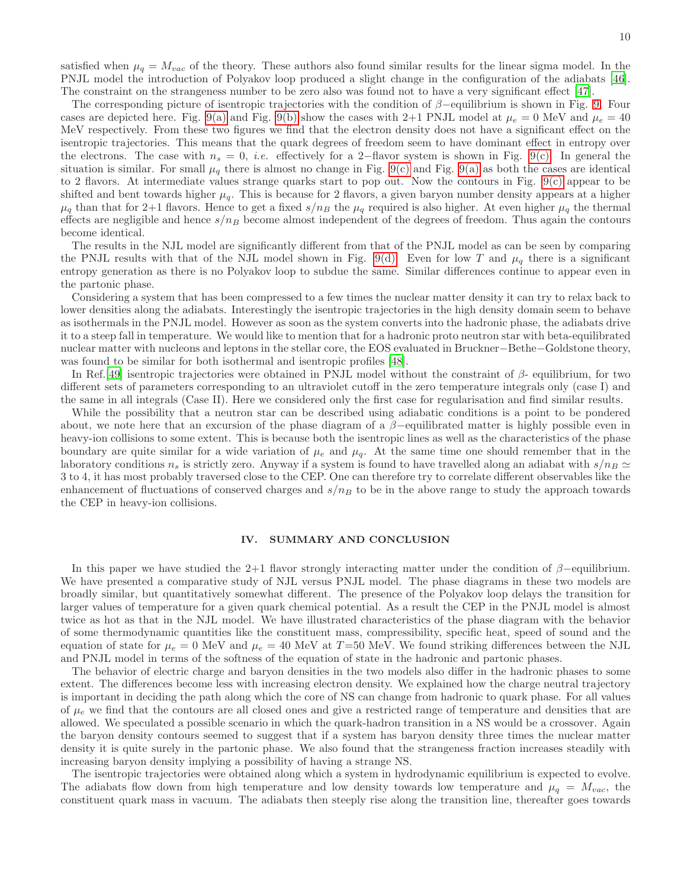satisfied when  $\mu_q = M_{vac}$  of the theory. These authors also found similar results for the linear sigma model. In the PNJL model the introduction of Polyakov loop produced a slight change in the configuration of the adiabats [\[46\]](#page-11-17). The constraint on the strangeness number to be zero also was found not to have a very significant effect [\[47\]](#page-11-18).

The corresponding picture of isentropic trajectories with the condition of  $\beta$ –equilibrium is shown in Fig. [9.](#page-8-1) Four cases are depicted here. Fig. [9\(a\)](#page-8-2) and Fig. [9\(b\)](#page-8-3) show the cases with 2+1 PNJL model at  $\mu_e = 0$  MeV and  $\mu_e = 40$ MeV respectively. From these two figures we find that the electron density does not have a significant effect on the isentropic trajectories. This means that the quark degrees of freedom seem to have dominant effect in entropy over the electrons. The case with  $n_s = 0$ , *i.e.* effectively for a 2-flavor system is shown in Fig. [9\(c\).](#page-8-4) In general the situation is similar. For small  $\mu_q$  there is almost no change in Fig. [9\(c\)](#page-8-4) and Fig. [9\(a\)](#page-8-2) as both the cases are identical to 2 flavors. At intermediate values strange quarks start to pop out. Now the contours in Fig. [9\(c\)](#page-8-4) appear to be shifted and bent towards higher  $\mu_q$ . This is because for 2 flavors, a given baryon number density appears at a higher  $\mu_q$  than that for 2+1 flavors. Hence to get a fixed  $s/n_B$  the  $\mu_q$  required is also higher. At even higher  $\mu_q$  the thermal effects are negligible and hence  $s/n_B$  become almost independent of the degrees of freedom. Thus again the contours become identical.

The results in the NJL model are significantly different from that of the PNJL model as can be seen by comparing the PNJL results with that of the NJL model shown in Fig. [9\(d\).](#page-8-5) Even for low T and  $\mu_q$  there is a significant entropy generation as there is no Polyakov loop to subdue the same. Similar differences continue to appear even in the partonic phase.

Considering a system that has been compressed to a few times the nuclear matter density it can try to relax back to lower densities along the adiabats. Interestingly the isentropic trajectories in the high density domain seem to behave as isothermals in the PNJL model. However as soon as the system converts into the hadronic phase, the adiabats drive it to a steep fall in temperature. We would like to mention that for a hadronic proto neutron star with beta-equilibrated nuclear matter with nucleons and leptons in the stellar core, the EOS evaluated in Bruckner−Bethe−Goldstone theory, was found to be similar for both isothermal and isentropic profiles [\[48\]](#page-11-19).

In Ref.[\[49](#page-11-20)] isentropic trajectories were obtained in PNJL model without the constraint of  $\beta$ - equilibrium, for two different sets of parameters corresponding to an ultraviolet cutoff in the zero temperature integrals only (case I) and the same in all integrals (Case II). Here we considered only the first case for regularisation and find similar results.

While the possibility that a neutron star can be described using adiabatic conditions is a point to be pondered about, we note here that an excursion of the phase diagram of a  $\beta$ -equilibrated matter is highly possible even in heavy-ion collisions to some extent. This is because both the isentropic lines as well as the characteristics of the phase boundary are quite similar for a wide variation of  $\mu_e$  and  $\mu_q$ . At the same time one should remember that in the laboratory conditions  $n_s$  is strictly zero. Anyway if a system is found to have travelled along an adiabat with  $s/n_B \simeq$ 3 to 4, it has most probably traversed close to the CEP. One can therefore try to correlate different observables like the enhancement of fluctuations of conserved charges and  $s/n_B$  to be in the above range to study the approach towards the CEP in heavy-ion collisions.

#### <span id="page-9-0"></span>IV. SUMMARY AND CONCLUSION

In this paper we have studied the 2+1 flavor strongly interacting matter under the condition of  $\beta$ −equilibrium. We have presented a comparative study of NJL versus PNJL model. The phase diagrams in these two models are broadly similar, but quantitatively somewhat different. The presence of the Polyakov loop delays the transition for larger values of temperature for a given quark chemical potential. As a result the CEP in the PNJL model is almost twice as hot as that in the NJL model. We have illustrated characteristics of the phase diagram with the behavior of some thermodynamic quantities like the constituent mass, compressibility, specific heat, speed of sound and the equation of state for  $\mu_e = 0$  MeV and  $\mu_e = 40$  MeV at T=50 MeV. We found striking differences between the NJL and PNJL model in terms of the softness of the equation of state in the hadronic and partonic phases.

The behavior of electric charge and baryon densities in the two models also differ in the hadronic phases to some extent. The differences become less with increasing electron density. We explained how the charge neutral trajectory is important in deciding the path along which the core of NS can change from hadronic to quark phase. For all values of  $\mu_e$  we find that the contours are all closed ones and give a restricted range of temperature and densities that are allowed. We speculated a possible scenario in which the quark-hadron transition in a NS would be a crossover. Again the baryon density contours seemed to suggest that if a system has baryon density three times the nuclear matter density it is quite surely in the partonic phase. We also found that the strangeness fraction increases steadily with increasing baryon density implying a possibility of having a strange NS.

The isentropic trajectories were obtained along which a system in hydrodynamic equilibrium is expected to evolve. The adiabats flow down from high temperature and low density towards low temperature and  $\mu_q = M_{vac}$ , the constituent quark mass in vacuum. The adiabats then steeply rise along the transition line, thereafter goes towards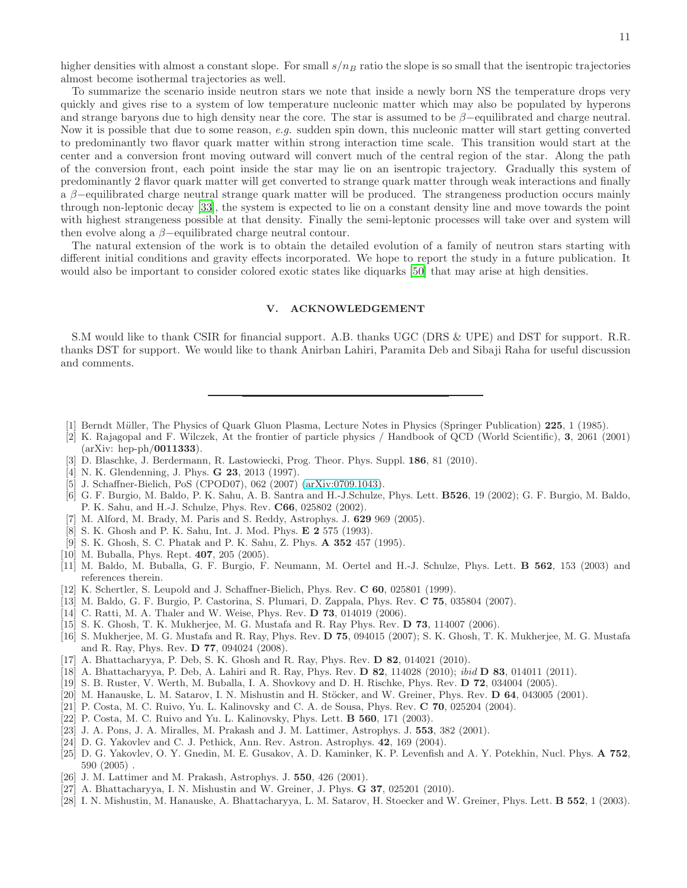higher densities with almost a constant slope. For small  $s/n_B$  ratio the slope is so small that the isentropic trajectories almost become isothermal trajectories as well.

To summarize the scenario inside neutron stars we note that inside a newly born NS the temperature drops very quickly and gives rise to a system of low temperature nucleonic matter which may also be populated by hyperons and strange baryons due to high density near the core. The star is assumed to be  $\beta$ -equilibrated and charge neutral. Now it is possible that due to some reason, e.g. sudden spin down, this nucleonic matter will start getting converted to predominantly two flavor quark matter within strong interaction time scale. This transition would start at the center and a conversion front moving outward will convert much of the central region of the star. Along the path of the conversion front, each point inside the star may lie on an isentropic trajectory. Gradually this system of predominantly 2 flavor quark matter will get converted to strange quark matter through weak interactions and finally a β−equilibrated charge neutral strange quark matter will be produced. The strangeness production occurs mainly through non-leptonic decay [\[33\]](#page-11-4), the system is expected to lie on a constant density line and move towards the point with highest strangeness possible at that density. Finally the semi-leptonic processes will take over and system will then evolve along a  $\beta$ -equilibrated charge neutral contour.

The natural extension of the work is to obtain the detailed evolution of a family of neutron stars starting with different initial conditions and gravity effects incorporated. We hope to report the study in a future publication. It would also be important to consider colored exotic states like diquarks [\[50\]](#page-11-21) that may arise at high densities.

# V. ACKNOWLEDGEMENT

S.M would like to thank CSIR for financial support. A.B. thanks UGC (DRS & UPE) and DST for support. R.R. thanks DST for support. We would like to thank Anirban Lahiri, Paramita Deb and Sibaji Raha for useful discussion and comments.

- <span id="page-10-0"></span>[1] Berndt Müller, The Physics of Quark Gluon Plasma, Lecture Notes in Physics (Springer Publication) 225, 1 (1985).
- <span id="page-10-1"></span>[2] K. Rajagopal and F. Wilczek, At the frontier of particle physics / Handbook of QCD (World Scientific), 3, 2061 (2001) (arXiv: hep-ph/0011333).
- [3] D. Blaschke, J. Berdermann, R. Lastowiecki, Prog. Theor. Phys. Suppl. 186, 81 (2010).
- <span id="page-10-2"></span>[4] N. K. Glendenning, J. Phys. **G 23**, 2013 (1997).
- <span id="page-10-3"></span>[5] J. Schaffner-Bielich, PoS (CPOD07), 062 (2007) [\(arXiv:0709.1043\)](http://arxiv.org/abs/0709.1043).
- <span id="page-10-4"></span>[6] G. F. Burgio, M. Baldo, P. K. Sahu, A. B. Santra and H.-J.Schulze, Phys. Lett. B526, 19 (2002); G. F. Burgio, M. Baldo, P. K. Sahu, and H.-J. Schulze, Phys. Rev. C66, 025802 (2002).
- <span id="page-10-5"></span>[7] M. Alford, M. Brady, M. Paris and S. Reddy, Astrophys. J. 629 969 (2005).
- <span id="page-10-6"></span>[8] S. K. Ghosh and P. K. Sahu, Int. J. Mod. Phys. E 2 575 (1993).
- <span id="page-10-7"></span>[9] S. K. Ghosh, S. C. Phatak and P. K. Sahu, Z. Phys. A 352 457 (1995).
- <span id="page-10-8"></span>[10] M. Buballa, Phys. Rept. **407**, 205 (2005).
- <span id="page-10-9"></span>[11] M. Baldo, M. Buballa, G. F. Burgio, F. Neumann, M. Oertel and H.-J. Schulze, Phys. Lett. B 562, 153 (2003) and references therein.
- <span id="page-10-10"></span>[12] K. Schertler, S. Leupold and J. Schaffner-Bielich, Phys. Rev. C 60, 025801 (1999).
- <span id="page-10-11"></span>[13] M. Baldo, G. F. Burgio, P. Castorina, S. Plumari, D. Zappala, Phys. Rev. C 75, 035804 (2007).
- <span id="page-10-12"></span>[14] C. Ratti, M. A. Thaler and W. Weise, Phys. Rev. **D 73**, 014019 (2006).
- [15] S. K. Ghosh, T. K. Mukherjee, M. G. Mustafa and R. Ray Phys. Rev. D 73, 114007 (2006).
- <span id="page-10-13"></span>[16] S. Mukherjee, M. G. Mustafa and R. Ray, Phys. Rev. D 75, 094015 (2007); S. K. Ghosh, T. K. Mukherjee, M. G. Mustafa and R. Ray, Phys. Rev. D 77, 094024 (2008).
- <span id="page-10-14"></span>[17] A. Bhattacharyya, P. Deb, S. K. Ghosh and R. Ray, Phys. Rev. D 82, 014021 (2010).
- <span id="page-10-15"></span>[18] A. Bhattacharyya, P. Deb, A. Lahiri and R. Ray, Phys. Rev. D 82, 114028 (2010); *ibid* D 83, 014011 (2011).
- <span id="page-10-16"></span>[19] S. B. Ruster, V. Werth, M. Buballa, I. A. Shovkovy and D. H. Rischke, Phys. Rev. D 72, 034004 (2005).
- <span id="page-10-17"></span>[20] M. Hanauske, L. M. Satarov, I. N. Mishustin and H. Stöcker, and W. Greiner, Phys. Rev.  $D$  64, 043005 (2001).
- <span id="page-10-18"></span>[21] P. Costa, M. C. Ruivo, Yu. L. Kalinovsky and C. A. de Sousa, Phys. Rev. C 70, 025204 (2004).
- <span id="page-10-19"></span>[22] P. Costa, M. C. Ruivo and Yu. L. Kalinovsky, Phys. Lett. B 560, 171 (2003).
- <span id="page-10-20"></span>[23] J. A. Pons, J. A. Miralles, M. Prakash and J. M. Lattimer, Astrophys. J. 553, 382 (2001).
- <span id="page-10-21"></span>[24] D. G. Yakovlev and C. J. Pethick, Ann. Rev. Astron. Astrophys. 42, 169 (2004).
- <span id="page-10-22"></span>[25] D. G. Yakovlev, O. Y. Gnedin, M. E. Gusakov, A. D. Kaminker, K. P. Levenfish and A. Y. Potekhin, Nucl. Phys. A 752, 590 (2005) .
- <span id="page-10-23"></span>[26] J. M. Lattimer and M. Prakash, Astrophys. J. 550, 426 (2001).
- <span id="page-10-24"></span>[27] A. Bhattacharyya, I. N. Mishustin and W. Greiner, J. Phys. **G 37**, 025201 (2010).
- <span id="page-10-25"></span>[28] I. N. Mishustin, M. Hanauske, A. Bhattacharyya, L. M. Satarov, H. Stoecker and W. Greiner, Phys. Lett. **B 552**, 1 (2003).